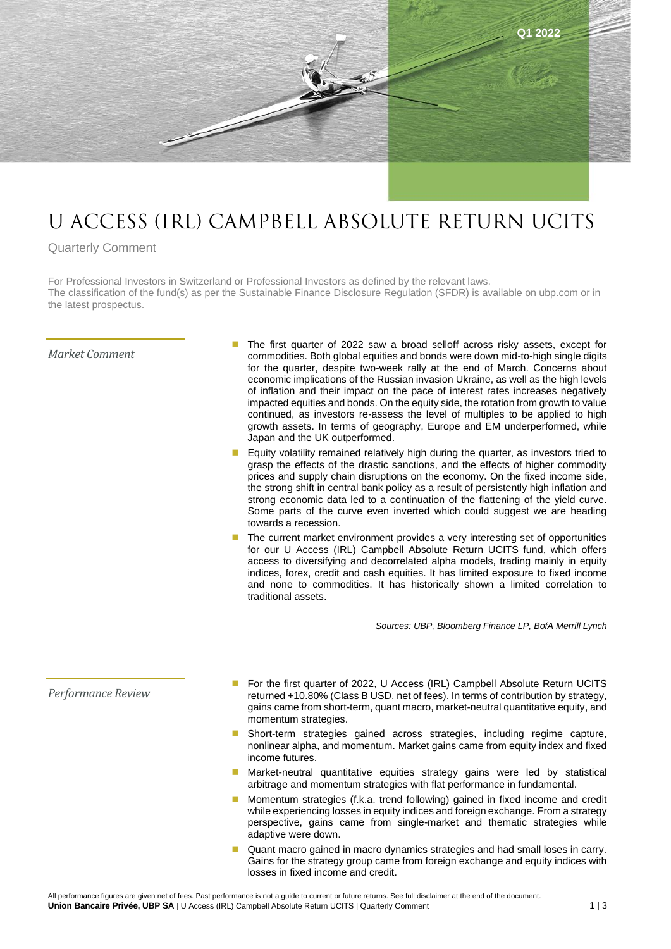

# U ACCESS (IRL) CAMPBELL ABSOLUTE RETURN UCITS

## Quarterly Comment

For Professional Investors in Switzerland or Professional Investors as defined by the relevant laws. The classification of the fund(s) as per the Sustainable Finance Disclosure Regulation (SFDR) is available on ubp.com or in the latest prospectus.

#### *Market Comment*

- The first quarter of 2022 saw a broad selloff across risky assets, except for commodities. Both global equities and bonds were down mid-to-high single digits for the quarter, despite two-week rally at the end of March. Concerns about economic implications of the Russian invasion Ukraine, as well as the high levels of inflation and their impact on the pace of interest rates increases negatively impacted equities and bonds. On the equity side, the rotation from growth to value continued, as investors re-assess the level of multiples to be applied to high growth assets. In terms of geography, Europe and EM underperformed, while Japan and the UK outperformed.
- Equity volatility remained relatively high during the quarter, as investors tried to grasp the effects of the drastic sanctions, and the effects of higher commodity prices and supply chain disruptions on the economy. On the fixed income side, the strong shift in central bank policy as a result of persistently high inflation and strong economic data led to a continuation of the flattening of the yield curve. Some parts of the curve even inverted which could suggest we are heading towards a recession.
- The current market environment provides a very interesting set of opportunities for our U Access (IRL) Campbell Absolute Return UCITS fund, which offers access to diversifying and decorrelated alpha models, trading mainly in equity indices, forex, credit and cash equities. It has limited exposure to fixed income and none to commodities. It has historically shown a limited correlation to traditional assets.

*Sources: UBP, Bloomberg Finance LP, BofA Merrill Lynch*

### *Performance Review*

- For the first quarter of 2022, U Access (IRL) Campbell Absolute Return UCITS returned +10.80% (Class B USD, net of fees). In terms of contribution by strategy, gains came from short-term, quant macro, market-neutral quantitative equity, and momentum strategies.
- Short-term strategies gained across strategies, including regime capture, nonlinear alpha, and momentum. Market gains came from equity index and fixed income futures.
- Market-neutral quantitative equities strategy gains were led by statistical arbitrage and momentum strategies with flat performance in fundamental.
- Momentum strategies (f.k.a. trend following) gained in fixed income and credit while experiencing losses in equity indices and foreign exchange. From a strategy perspective, gains came from single-market and thematic strategies while adaptive were down.
- Quant macro gained in macro dynamics strategies and had small loses in carry. Gains for the strategy group came from foreign exchange and equity indices with losses in fixed income and credit.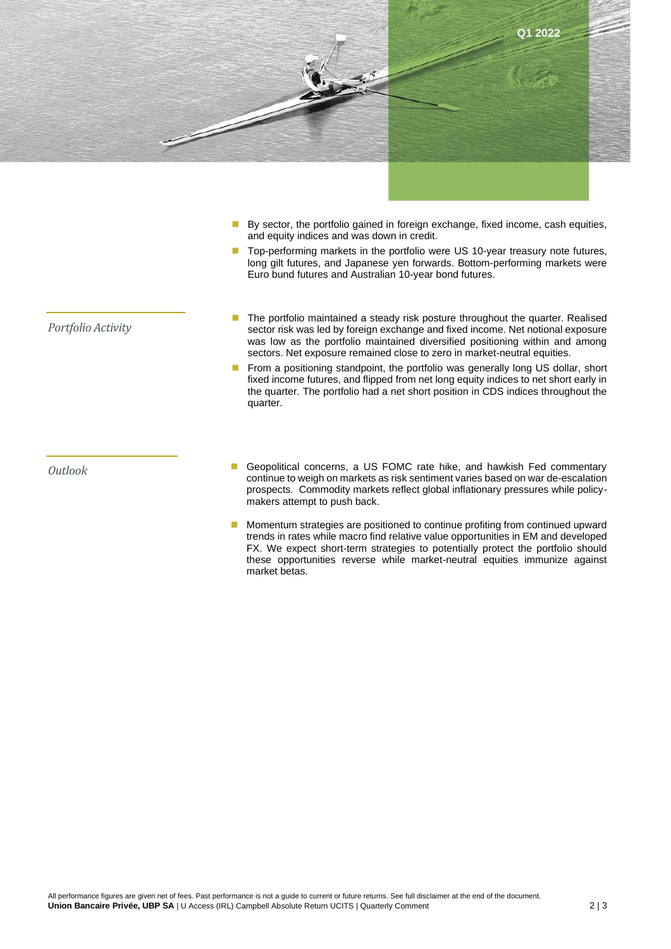

- By sector, the portfolio gained in foreign exchange, fixed income, cash equities, and equity indices and was down in credit.
- Top-performing markets in the portfolio were US 10-year treasury note futures, long gilt futures, and Japanese yen forwards. Bottom-performing markets were Euro bund futures and Australian 10-year bond futures.

- *Portfolio Activity*
- The portfolio maintained a steady risk posture throughout the quarter. Realised sector risk was led by foreign exchange and fixed income. Net notional exposure was low as the portfolio maintained diversified positioning within and among sectors. Net exposure remained close to zero in market-neutral equities.
- From a positioning standpoint, the portfolio was generally long US dollar, short fixed income futures, and flipped from net long equity indices to net short early in the quarter. The portfolio had a net short position in CDS indices throughout the quarter.

- *Outlook* Geopolitical concerns, a US FOMC rate hike, and hawkish Fed commentary continue to weigh on markets as risk sentiment varies based on war de-escalation prospects. Commodity markets reflect global inflationary pressures while policymakers attempt to push back.
	- Momentum strategies are positioned to continue profiting from continued upward trends in rates while macro find relative value opportunities in EM and developed FX. We expect short-term strategies to potentially protect the portfolio should these opportunities reverse while market-neutral equities immunize against market betas.